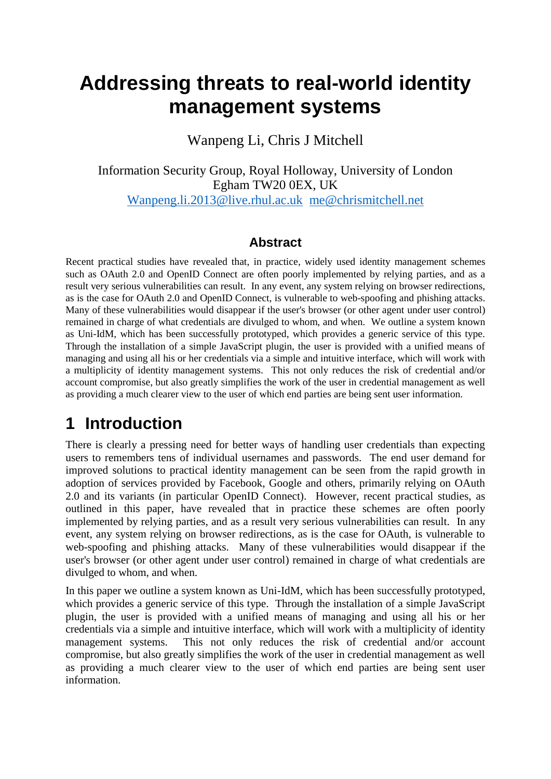# **Addressing threats to real-world identity management systems**

Wanpeng Li, Chris J Mitchell

Information Security Group, Royal Holloway, University of London Egham TW20 0EX, UK [Wanpeng.li.2013@live.rhul.ac.uk](mailto:Wanpeng.li.2013@live.rhul.ac.uk) [me@chrismitchell.net](mailto:me@chrismitchell.net)

#### **Abstract**

Recent practical studies have revealed that, in practice, widely used identity management schemes such as OAuth 2.0 and OpenID Connect are often poorly implemented by relying parties, and as a result very serious vulnerabilities can result. In any event, any system relying on browser redirections, as is the case for OAuth 2.0 and OpenID Connect, is vulnerable to web-spoofing and phishing attacks. Many of these vulnerabilities would disappear if the user's browser (or other agent under user control) remained in charge of what credentials are divulged to whom, and when. We outline a system known as Uni-IdM, which has been successfully prototyped, which provides a generic service of this type. Through the installation of a simple JavaScript plugin, the user is provided with a unified means of managing and using all his or her credentials via a simple and intuitive interface, which will work with a multiplicity of identity management systems. This not only reduces the risk of credential and/or account compromise, but also greatly simplifies the work of the user in credential management as well as providing a much clearer view to the user of which end parties are being sent user information.

## **1 Introduction**

There is clearly a pressing need for better ways of handling user credentials than expecting users to remembers tens of individual usernames and passwords. The end user demand for improved solutions to practical identity management can be seen from the rapid growth in adoption of services provided by Facebook, Google and others, primarily relying on OAuth 2.0 and its variants (in particular OpenID Connect). However, recent practical studies, as outlined in this paper, have revealed that in practice these schemes are often poorly implemented by relying parties, and as a result very serious vulnerabilities can result. In any event, any system relying on browser redirections, as is the case for OAuth, is vulnerable to web-spoofing and phishing attacks. Many of these vulnerabilities would disappear if the user's browser (or other agent under user control) remained in charge of what credentials are divulged to whom, and when.

In this paper we outline a system known as Uni-IdM, which has been successfully prototyped, which provides a generic service of this type. Through the installation of a simple JavaScript plugin, the user is provided with a unified means of managing and using all his or her credentials via a simple and intuitive interface, which will work with a multiplicity of identity management systems. This not only reduces the risk of credential and/or account compromise, but also greatly simplifies the work of the user in credential management as well as providing a much clearer view to the user of which end parties are being sent user information.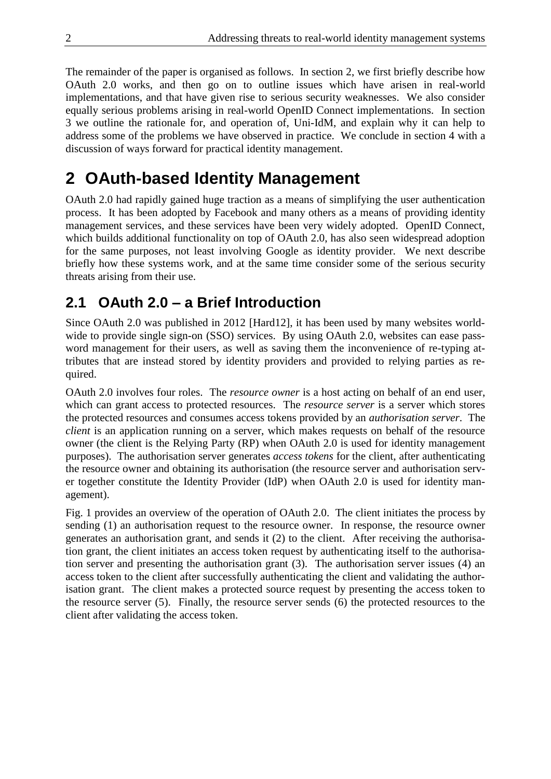The remainder of the paper is organised as follows. In section [2,](#page-1-0) we first briefly describe how OAuth 2.0 works, and then go on to outline issues which have arisen in real-world implementations, and that have given rise to serious security weaknesses. We also consider equally serious problems arising in real-world OpenID Connect implementations. In section [3](#page-5-0) we outline the rationale for, and operation of, Uni-IdM, and explain why it can help to address some of the problems we have observed in practice. We conclude in section [4](#page-7-0) with a discussion of ways forward for practical identity management.

## <span id="page-1-0"></span>**2 OAuth-based Identity Management**

OAuth 2.0 had rapidly gained huge traction as a means of simplifying the user authentication process. It has been adopted by Facebook and many others as a means of providing identity management services, and these services have been very widely adopted. OpenID Connect, which builds additional functionality on top of OAuth 2.0, has also seen widespread adoption for the same purposes, not least involving Google as identity provider. We next describe briefly how these systems work, and at the same time consider some of the serious security threats arising from their use.

## **2.1 OAuth 2.0 – a Brief Introduction**

Since OAuth 2.0 was published in 2012 [Hard12], it has been used by many websites worldwide to provide single sign-on (SSO) services. By using OAuth 2.0, websites can ease password management for their users, as well as saving them the inconvenience of re-typing attributes that are instead stored by identity providers and provided to relying parties as required.

OAuth 2.0 involves four roles. The *resource owner* is a host acting on behalf of an end user, which can grant access to protected resources. The *resource server* is a server which stores the protected resources and consumes access tokens provided by an *authorisation server*. The *client* is an application running on a server, which makes requests on behalf of the resource owner (the client is the Relying Party (RP) when OAuth 2.0 is used for identity management purposes). The authorisation server generates *access tokens* for the client, after authenticating the resource owner and obtaining its authorisation (the resource server and authorisation server together constitute the Identity Provider (IdP) when OAuth 2.0 is used for identity management).

Fig. 1 provides an overview of the operation of OAuth 2.0. The client initiates the process by sending (1) an authorisation request to the resource owner. In response, the resource owner generates an authorisation grant, and sends it (2) to the client. After receiving the authorisation grant, the client initiates an access token request by authenticating itself to the authorisation server and presenting the authorisation grant (3). The authorisation server issues (4) an access token to the client after successfully authenticating the client and validating the authorisation grant. The client makes a protected source request by presenting the access token to the resource server (5). Finally, the resource server sends (6) the protected resources to the client after validating the access token.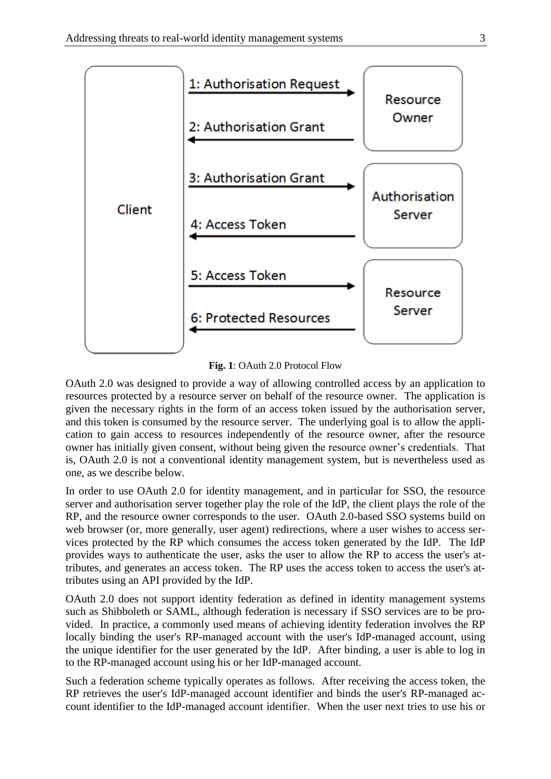

**Fig. 1**: OAuth 2.0 Protocol Flow

OAuth 2.0 was designed to provide a way of allowing controlled access by an application to resources protected by a resource server on behalf of the resource owner. The application is given the necessary rights in the form of an access token issued by the authorisation server, and this token is consumed by the resource server. The underlying goal is to allow the application to gain access to resources independently of the resource owner, after the resource owner has initially given consent, without being given the resource owner's credentials. That is, OAuth 2.0 is not a conventional identity management system, but is nevertheless used as one, as we describe below.

In order to use OAuth 2.0 for identity management, and in particular for SSO, the resource server and authorisation server together play the role of the IdP, the client plays the role of the RP, and the resource owner corresponds to the user. OAuth 2.0-based SSO systems build on web browser (or, more generally, user agent) redirections, where a user wishes to access services protected by the RP which consumes the access token generated by the IdP. The IdP provides ways to authenticate the user, asks the user to allow the RP to access the user's attributes, and generates an access token. The RP uses the access token to access the user's attributes using an API provided by the IdP.

OAuth 2.0 does not support identity federation as defined in identity management systems such as Shibboleth or SAML, although federation is necessary if SSO services are to be provided. In practice, a commonly used means of achieving identity federation involves the RP locally binding the user's RP-managed account with the user's IdP-managed account, using the unique identifier for the user generated by the IdP. After binding, a user is able to log in to the RP-managed account using his or her IdP-managed account.

Such a federation scheme typically operates as follows. After receiving the access token, the RP retrieves the user's IdP-managed account identifier and binds the user's RP-managed account identifier to the IdP-managed account identifier. When the user next tries to use his or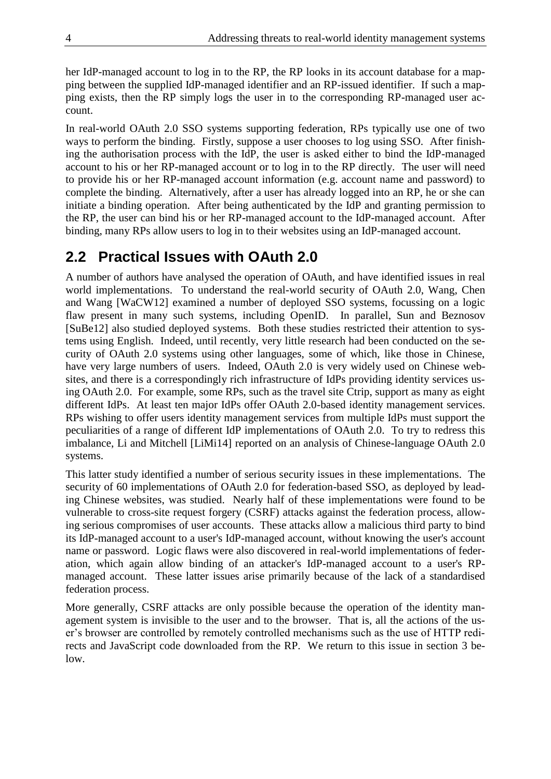her IdP-managed account to log in to the RP, the RP looks in its account database for a mapping between the supplied IdP-managed identifier and an RP-issued identifier. If such a mapping exists, then the RP simply logs the user in to the corresponding RP-managed user account.

In real-world OAuth 2.0 SSO systems supporting federation, RPs typically use one of two ways to perform the binding. Firstly, suppose a user chooses to log using SSO. After finishing the authorisation process with the IdP, the user is asked either to bind the IdP-managed account to his or her RP-managed account or to log in to the RP directly. The user will need to provide his or her RP-managed account information (e.g. account name and password) to complete the binding. Alternatively, after a user has already logged into an RP, he or she can initiate a binding operation. After being authenticated by the IdP and granting permission to the RP, the user can bind his or her RP-managed account to the IdP-managed account. After binding, many RPs allow users to log in to their websites using an IdP-managed account.

### **2.2 Practical Issues with OAuth 2.0**

A number of authors have analysed the operation of OAuth, and have identified issues in real world implementations. To understand the real-world security of OAuth 2.0, Wang, Chen and Wang [WaCW12] examined a number of deployed SSO systems, focussing on a logic flaw present in many such systems, including OpenID. In parallel, Sun and Beznosov [SuBe12] also studied deployed systems. Both these studies restricted their attention to systems using English. Indeed, until recently, very little research had been conducted on the security of OAuth 2.0 systems using other languages, some of which, like those in Chinese, have very large numbers of users. Indeed, OAuth 2.0 is very widely used on Chinese websites, and there is a correspondingly rich infrastructure of IdPs providing identity services using OAuth 2.0. For example, some RPs, such as the travel site Ctrip, support as many as eight different IdPs. At least ten major IdPs offer OAuth 2.0-based identity management services. RPs wishing to offer users identity management services from multiple IdPs must support the peculiarities of a range of different IdP implementations of OAuth 2.0. To try to redress this imbalance, Li and Mitchell [LiMi14] reported on an analysis of Chinese-language OAuth 2.0 systems.

This latter study identified a number of serious security issues in these implementations. The security of 60 implementations of OAuth 2.0 for federation-based SSO, as deployed by leading Chinese websites, was studied. Nearly half of these implementations were found to be vulnerable to cross-site request forgery (CSRF) attacks against the federation process, allowing serious compromises of user accounts. These attacks allow a malicious third party to bind its IdP-managed account to a user's IdP-managed account, without knowing the user's account name or password. Logic flaws were also discovered in real-world implementations of federation, which again allow binding of an attacker's IdP-managed account to a user's RPmanaged account. These latter issues arise primarily because of the lack of a standardised federation process.

More generally, CSRF attacks are only possible because the operation of the identity management system is invisible to the user and to the browser. That is, all the actions of the user's browser are controlled by remotely controlled mechanisms such as the use of HTTP redirects and JavaScript code downloaded from the RP. We return to this issue in section [3](#page-5-0) below.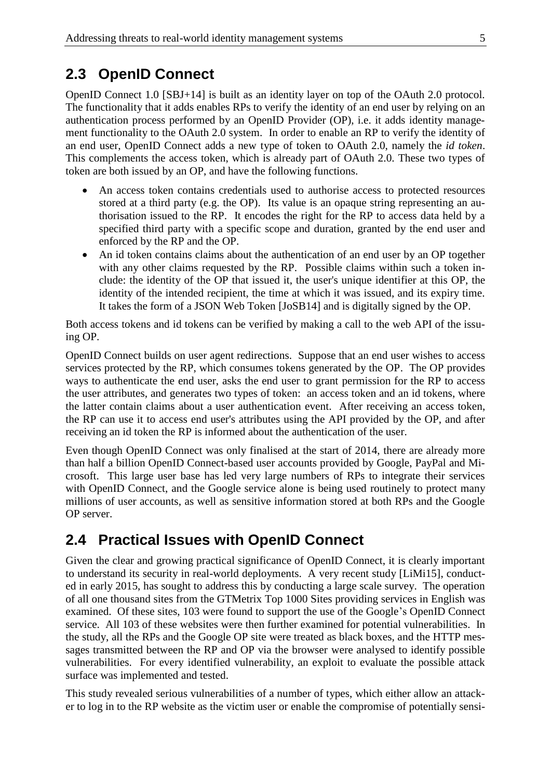### **2.3 OpenID Connect**

OpenID Connect 1.0 [SBJ+14] is built as an identity layer on top of the OAuth 2.0 protocol. The functionality that it adds enables RPs to verify the identity of an end user by relying on an authentication process performed by an OpenID Provider (OP), i.e. it adds identity management functionality to the OAuth 2.0 system. In order to enable an RP to verify the identity of an end user, OpenID Connect adds a new type of token to OAuth 2.0, namely the *id token*. This complements the access token, which is already part of OAuth 2.0. These two types of token are both issued by an OP, and have the following functions.

- An access token contains credentials used to authorise access to protected resources stored at a third party (e.g. the OP). Its value is an opaque string representing an authorisation issued to the RP. It encodes the right for the RP to access data held by a specified third party with a specific scope and duration, granted by the end user and enforced by the RP and the OP.
- An id token contains claims about the authentication of an end user by an OP together with any other claims requested by the RP. Possible claims within such a token include: the identity of the OP that issued it, the user's unique identifier at this OP, the identity of the intended recipient, the time at which it was issued, and its expiry time. It takes the form of a JSON Web Token [JoSB14] and is digitally signed by the OP.

Both access tokens and id tokens can be verified by making a call to the web API of the issuing OP.

OpenID Connect builds on user agent redirections. Suppose that an end user wishes to access services protected by the RP, which consumes tokens generated by the OP. The OP provides ways to authenticate the end user, asks the end user to grant permission for the RP to access the user attributes, and generates two types of token: an access token and an id tokens, where the latter contain claims about a user authentication event. After receiving an access token, the RP can use it to access end user's attributes using the API provided by the OP, and after receiving an id token the RP is informed about the authentication of the user.

Even though OpenID Connect was only finalised at the start of 2014, there are already more than half a billion OpenID Connect-based user accounts provided by Google, PayPal and Microsoft. This large user base has led very large numbers of RPs to integrate their services with OpenID Connect, and the Google service alone is being used routinely to protect many millions of user accounts, as well as sensitive information stored at both RPs and the Google OP server.

## **2.4 Practical Issues with OpenID Connect**

Given the clear and growing practical significance of OpenID Connect, it is clearly important to understand its security in real-world deployments. A very recent study [LiMi15], conducted in early 2015, has sought to address this by conducting a large scale survey. The operation of all one thousand sites from the GTMetrix Top 1000 Sites providing services in English was examined. Of these sites, 103 were found to support the use of the Google's OpenID Connect service. All 103 of these websites were then further examined for potential vulnerabilities. In the study, all the RPs and the Google OP site were treated as black boxes, and the HTTP messages transmitted between the RP and OP via the browser were analysed to identify possible vulnerabilities. For every identified vulnerability, an exploit to evaluate the possible attack surface was implemented and tested.

This study revealed serious vulnerabilities of a number of types, which either allow an attacker to log in to the RP website as the victim user or enable the compromise of potentially sensi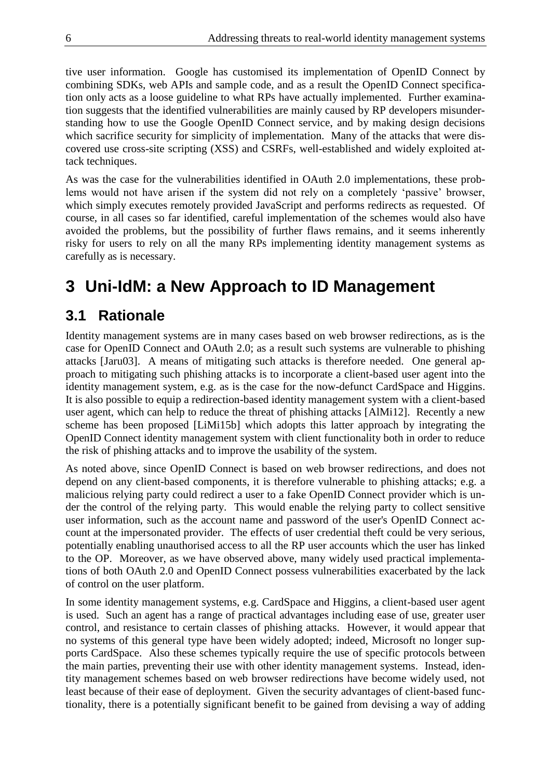tive user information. Google has customised its implementation of OpenID Connect by combining SDKs, web APIs and sample code, and as a result the OpenID Connect specification only acts as a loose guideline to what RPs have actually implemented. Further examination suggests that the identified vulnerabilities are mainly caused by RP developers misunderstanding how to use the Google OpenID Connect service, and by making design decisions which sacrifice security for simplicity of implementation. Many of the attacks that were discovered use cross-site scripting (XSS) and CSRFs, well-established and widely exploited attack techniques.

As was the case for the vulnerabilities identified in OAuth 2.0 implementations, these problems would not have arisen if the system did not rely on a completely 'passive' browser, which simply executes remotely provided JavaScript and performs redirects as requested. Of course, in all cases so far identified, careful implementation of the schemes would also have avoided the problems, but the possibility of further flaws remains, and it seems inherently risky for users to rely on all the many RPs implementing identity management systems as carefully as is necessary.

## <span id="page-5-0"></span>**3 Uni-IdM: a New Approach to ID Management**

### **3.1 Rationale**

Identity management systems are in many cases based on web browser redirections, as is the case for OpenID Connect and OAuth 2.0; as a result such systems are vulnerable to phishing attacks [Jaru03]. A means of mitigating such attacks is therefore needed. One general approach to mitigating such phishing attacks is to incorporate a client-based user agent into the identity management system, e.g. as is the case for the now-defunct CardSpace and Higgins. It is also possible to equip a redirection-based identity management system with a client-based user agent, which can help to reduce the threat of phishing attacks [AlMi12]. Recently a new scheme has been proposed [LiMi15b] which adopts this latter approach by integrating the OpenID Connect identity management system with client functionality both in order to reduce the risk of phishing attacks and to improve the usability of the system.

As noted above, since OpenID Connect is based on web browser redirections, and does not depend on any client-based components, it is therefore vulnerable to phishing attacks; e.g. a malicious relying party could redirect a user to a fake OpenID Connect provider which is under the control of the relying party. This would enable the relying party to collect sensitive user information, such as the account name and password of the user's OpenID Connect account at the impersonated provider. The effects of user credential theft could be very serious, potentially enabling unauthorised access to all the RP user accounts which the user has linked to the OP. Moreover, as we have observed above, many widely used practical implementations of both OAuth 2.0 and OpenID Connect possess vulnerabilities exacerbated by the lack of control on the user platform.

In some identity management systems, e.g. CardSpace and Higgins, a client-based user agent is used. Such an agent has a range of practical advantages including ease of use, greater user control, and resistance to certain classes of phishing attacks. However, it would appear that no systems of this general type have been widely adopted; indeed, Microsoft no longer supports CardSpace. Also these schemes typically require the use of specific protocols between the main parties, preventing their use with other identity management systems. Instead, identity management schemes based on web browser redirections have become widely used, not least because of their ease of deployment. Given the security advantages of client-based functionality, there is a potentially significant benefit to be gained from devising a way of adding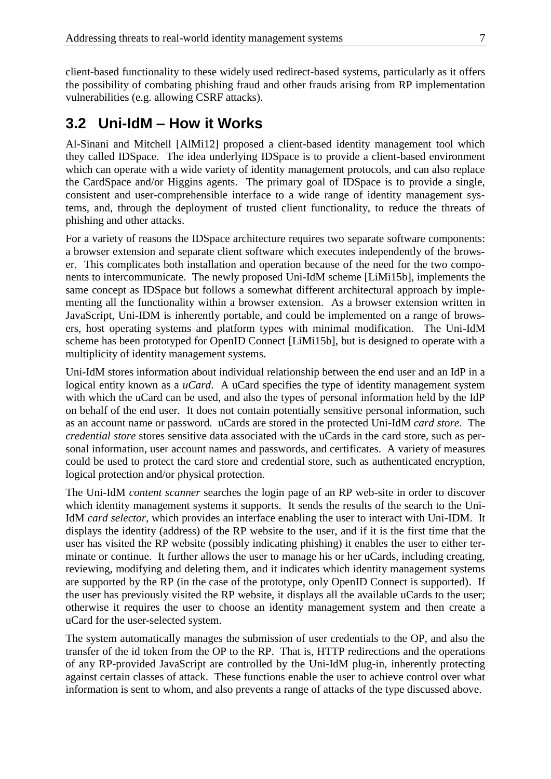client-based functionality to these widely used redirect-based systems, particularly as it offers the possibility of combating phishing fraud and other frauds arising from RP implementation vulnerabilities (e.g. allowing CSRF attacks).

### **3.2 Uni-IdM – How it Works**

Al-Sinani and Mitchell [AlMi12] proposed a client-based identity management tool which they called IDSpace. The idea underlying IDSpace is to provide a client-based environment which can operate with a wide variety of identity management protocols, and can also replace the CardSpace and/or Higgins agents. The primary goal of IDSpace is to provide a single, consistent and user-comprehensible interface to a wide range of identity management systems, and, through the deployment of trusted client functionality, to reduce the threats of phishing and other attacks.

For a variety of reasons the IDSpace architecture requires two separate software components: a browser extension and separate client software which executes independently of the browser. This complicates both installation and operation because of the need for the two components to intercommunicate. The newly proposed Uni-IdM scheme [LiMi15b], implements the same concept as IDSpace but follows a somewhat different architectural approach by implementing all the functionality within a browser extension. As a browser extension written in JavaScript, Uni-IDM is inherently portable, and could be implemented on a range of browsers, host operating systems and platform types with minimal modification. The Uni-IdM scheme has been prototyped for OpenID Connect [LiMi15b], but is designed to operate with a multiplicity of identity management systems.

Uni-IdM stores information about individual relationship between the end user and an IdP in a logical entity known as a *uCard*. A uCard specifies the type of identity management system with which the uCard can be used, and also the types of personal information held by the IdP on behalf of the end user. It does not contain potentially sensitive personal information, such as an account name or password. uCards are stored in the protected Uni-IdM *card store*. The *credential store* stores sensitive data associated with the uCards in the card store, such as personal information, user account names and passwords, and certificates. A variety of measures could be used to protect the card store and credential store, such as authenticated encryption, logical protection and/or physical protection.

The Uni-IdM *content scanner* searches the login page of an RP web-site in order to discover which identity management systems it supports. It sends the results of the search to the Uni-IdM *card selector*, which provides an interface enabling the user to interact with Uni-IDM. It displays the identity (address) of the RP website to the user, and if it is the first time that the user has visited the RP website (possibly indicating phishing) it enables the user to either terminate or continue. It further allows the user to manage his or her uCards, including creating, reviewing, modifying and deleting them, and it indicates which identity management systems are supported by the RP (in the case of the prototype, only OpenID Connect is supported). If the user has previously visited the RP website, it displays all the available uCards to the user; otherwise it requires the user to choose an identity management system and then create a uCard for the user-selected system.

The system automatically manages the submission of user credentials to the OP, and also the transfer of the id token from the OP to the RP. That is, HTTP redirections and the operations of any RP-provided JavaScript are controlled by the Uni-IdM plug-in, inherently protecting against certain classes of attack. These functions enable the user to achieve control over what information is sent to whom, and also prevents a range of attacks of the type discussed above.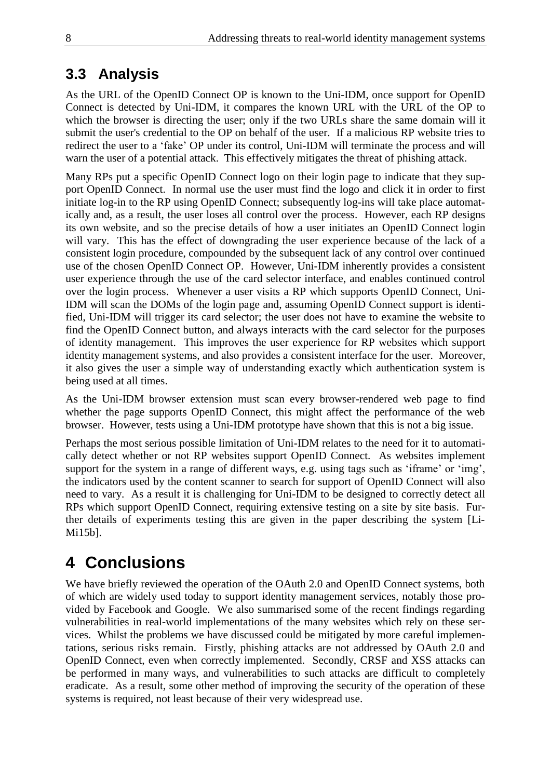## **3.3 Analysis**

As the URL of the OpenID Connect OP is known to the Uni-IDM, once support for OpenID Connect is detected by Uni-IDM, it compares the known URL with the URL of the OP to which the browser is directing the user; only if the two URLs share the same domain will it submit the user's credential to the OP on behalf of the user. If a malicious RP website tries to redirect the user to a 'fake' OP under its control, Uni-IDM will terminate the process and will warn the user of a potential attack. This effectively mitigates the threat of phishing attack.

Many RPs put a specific OpenID Connect logo on their login page to indicate that they support OpenID Connect. In normal use the user must find the logo and click it in order to first initiate log-in to the RP using OpenID Connect; subsequently log-ins will take place automatically and, as a result, the user loses all control over the process. However, each RP designs its own website, and so the precise details of how a user initiates an OpenID Connect login will vary. This has the effect of downgrading the user experience because of the lack of a consistent login procedure, compounded by the subsequent lack of any control over continued use of the chosen OpenID Connect OP. However, Uni-IDM inherently provides a consistent user experience through the use of the card selector interface, and enables continued control over the login process. Whenever a user visits a RP which supports OpenID Connect, Uni-IDM will scan the DOMs of the login page and, assuming OpenID Connect support is identified, Uni-IDM will trigger its card selector; the user does not have to examine the website to find the OpenID Connect button, and always interacts with the card selector for the purposes of identity management. This improves the user experience for RP websites which support identity management systems, and also provides a consistent interface for the user. Moreover, it also gives the user a simple way of understanding exactly which authentication system is being used at all times.

As the Uni-IDM browser extension must scan every browser-rendered web page to find whether the page supports OpenID Connect, this might affect the performance of the web browser. However, tests using a Uni-IDM prototype have shown that this is not a big issue.

Perhaps the most serious possible limitation of Uni-IDM relates to the need for it to automatically detect whether or not RP websites support OpenID Connect. As websites implement support for the system in a range of different ways, e.g. using tags such as 'iframe' or 'img', the indicators used by the content scanner to search for support of OpenID Connect will also need to vary. As a result it is challenging for Uni-IDM to be designed to correctly detect all RPs which support OpenID Connect, requiring extensive testing on a site by site basis. Further details of experiments testing this are given in the paper describing the system [Li-Mi15b].

## <span id="page-7-0"></span>**4 Conclusions**

We have briefly reviewed the operation of the OAuth 2.0 and OpenID Connect systems, both of which are widely used today to support identity management services, notably those provided by Facebook and Google. We also summarised some of the recent findings regarding vulnerabilities in real-world implementations of the many websites which rely on these services. Whilst the problems we have discussed could be mitigated by more careful implementations, serious risks remain. Firstly, phishing attacks are not addressed by OAuth 2.0 and OpenID Connect, even when correctly implemented. Secondly, CRSF and XSS attacks can be performed in many ways, and vulnerabilities to such attacks are difficult to completely eradicate. As a result, some other method of improving the security of the operation of these systems is required, not least because of their very widespread use.